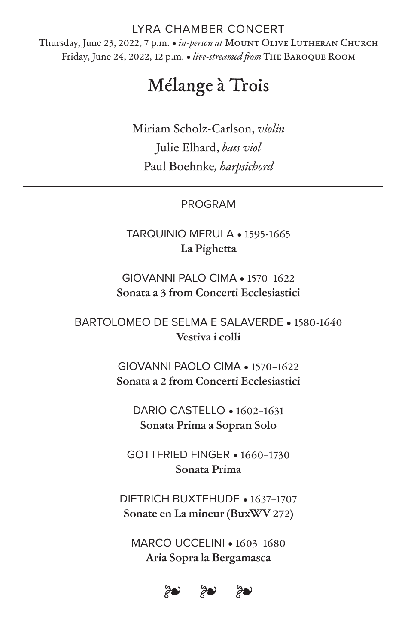# LYRA CHAMBER CONCERT

Thursday, June 23, 2022, 7 p.m. • *in-person at* Mount Olive Lutheran Church Friday, June 24, 2022, 12 p.m. • live-streamed from THE BAROQUE ROOM

# Mélange à Trois

Miriam Scholz-Carlson, *violin* Julie Elhard, *b#s viol* Paul Boehnke*, harpsichord*

# PROGRAM

TARQUINIO MERULA • 1595-1665 **La Pighe!a**

GIOVANNI PALO CIMA • 1570–1622 **Sonata a 3 from Concerti Ecclesiastici**

BARTOLOMEO DE SELMA E SALAVERDE • 1580-1640 **Vestiva i colli**

> GIOVANNI PAOLO CIMA • 1570–1622 **Sonata a 2 from Concerti Ecclesiastici**

DARIO CASTELLO • 1602–1631 **Sonata Prima a Sopran Solo**

GOTTFRIED FINGER • 1660–1730 **Sonata Prima**

DIETRICH BUXTEHUDE • 1637–1707 **Sonate en La mineur (BuxWV 272)**

MARCO UCCELINI • 1603–1680 **Aria Sopra la Bergamasca**

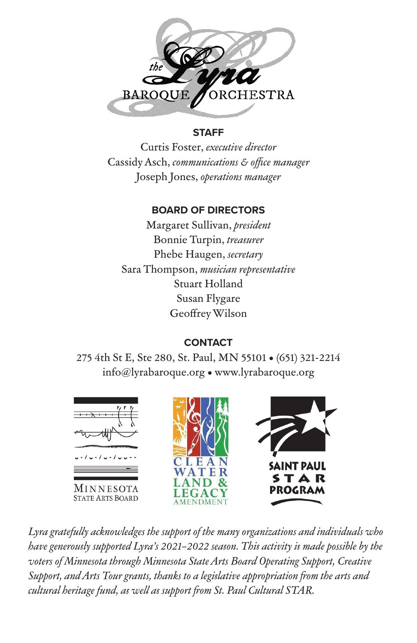

#### **STAFF**

Curtis Foster, executive director Cassidy Asch, communications & office manager Joseph Jones, operations manager

# **BOARD OF DIRECTORS**

Margaret Sullivan, president Bonnie Turpin, treasurer Phebe Haugen, secretary Sara Thompson, musician representative Stuart Holland Susan Flygare Geoffrey Wilson

# **CONTACT**

275 4th St E, Ste 280, St. Paul, MN 55101 . (651) 321-2214 info@lyrabaroque.org . www.lyrabaroque.org



Lyra gratefully acknowledges the support of the many organizations and individuals who have generously supported Lyra's 2021-2022 season. This activity is made possible by the voters of Minnesota through Minnesota State Arts Board Operating Support, Creative Support, and Arts Tour grants, thanks to a legislative appropriation from the arts and cultural heritage fund, as well as support from St. Paul Cultural STAR.